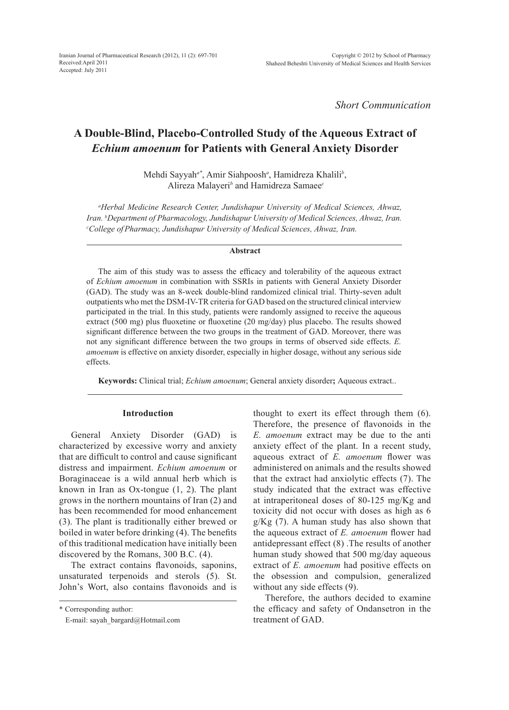*Short Communication*

# **A Double-Blind, Placebo-Controlled Study of the Aqueous Extract of**  *Echium amoenum* **for Patients with General Anxiety Disorder**

Mehdi Sayyah*a\**, Amir Siahpoosh*<sup>a</sup>* , Hamidreza Khalili*<sup>b</sup>* , Alireza Malayeri*<sup>b</sup>* and Hamidreza Samaee*<sup>c</sup>*

*a Herbal Medicine Research Center, Jundishapur University of Medical Sciences, Ahwaz, Iran. b Department of Pharmacology, Jundishapur University of Medical Sciences, Ahwaz, Iran. c College ofPharmacy, Jundishapur University of Medical Sciences, Ahwaz, Iran.*

#### **Abstract**

The aim of this study was to assess the efficacy and tolerability of the aqueous extract of *Echium amoenum* in combination with SSRIs in patients with General Anxiety Disorder (GAD). The study was an 8-week double-blind randomized clinical trial. Thirty-seven adult outpatients who met the DSM-IV-TR criteria for GAD based on the structured clinical interview participated in the trial. In this study, patients were randomly assigned to receive the aqueous extract (500 mg) plus fluoxetine or fluoxetine (20 mg/day) plus placebo. The results showed significant difference between the two groups in the treatment of GAD. Moreover, there was not any significant difference between the two groups in terms of observed side effects. *E. amoenum* is effective on anxiety disorder, especially in higher dosage, without any serious side effects.

**Keywords:** Clinical trial; *Echium amoenum*; General anxiety disorder**;** Aqueous extract..

## **Introduction**

General Anxiety Disorder (GAD) is characterized by excessive worry and anxiety that are difficult to control and cause significant distress and impairment. *Echium amoenum* or Boraginaceae is a wild annual herb which is known in Iran as Ox-tongue (1, 2). The plant grows in the northern mountains of Iran (2) and has been recommended for mood enhancement (3). The plant is traditionally either brewed or boiled in water before drinking (4). The benefits of this traditional medication have initially been discovered by the Romans, 300 B.C. (4).

The extract contains flavonoids, saponins, unsaturated terpenoids and sterols (5). St. John's Wort, also contains flavonoids and is

\* Corresponding author:

E-mail: sayah\_bargard@Hotmail.com

thought to exert its effect through them (6). Therefore, the presence of flavonoids in the *E. amoenum* extract may be due to the anti anxiety effect of the plant. In a recent study, aqueous extract of *E. amoenum* flower was administered on animals and the results showed that the extract had anxiolytic effects (7). The study indicated that the extract was effective at intraperitoneal doses of 80-125 mg/Kg and toxicity did not occur with doses as high as 6  $g/Kg$  (7). A human study has also shown that the aqueous extract of *E. amoenum* flower had antidepressant effect (8) .The results of another human study showed that 500 mg/day aqueous extract of *E. amoenum* had positive effects on the obsession and compulsion, generalized without any side effects (9).

Therefore, the authors decided to examine the efficacy and safety of Ondansetron in the treatment of GAD.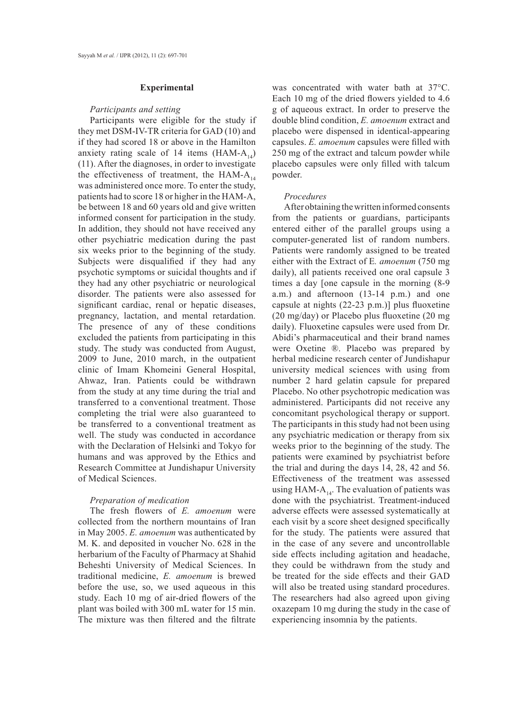## **Experimental**

## *Participants and setting*

Participants were eligible for the study if they met DSM-IV-TR criteria for GAD (10) and if they had scored 18 or above in the Hamilton anxiety rating scale of 14 items (HAM- $A_{14}$ ) (11). After the diagnoses, in order to investigate the effectiveness of treatment, the HAM- $A_{14}$ was administered once more. To enter the study, patients had to score 18 or higher in the HAM-A, be between 18 and 60 years old and give written informed consent for participation in the study. In addition, they should not have received any other psychiatric medication during the past six weeks prior to the beginning of the study. Subjects were disqualified if they had any psychotic symptoms or suicidal thoughts and if they had any other psychiatric or neurological disorder. The patients were also assessed for significant cardiac, renal or hepatic diseases, pregnancy, lactation, and mental retardation. The presence of any of these conditions excluded the patients from participating in this study. The study was conducted from August, 2009 to June, 2010 march, in the outpatient clinic of Imam Khomeini General Hospital, Ahwaz, Iran. Patients could be withdrawn from the study at any time during the trial and transferred to a conventional treatment. Those completing the trial were also guaranteed to be transferred to a conventional treatment as well. The study was conducted in accordance with the Declaration of Helsinki and Tokyo for humans and was approved by the Ethics and Research Committee at Jundishapur University of Medical Sciences.

## *Preparation of medication*

The fresh flowers of *E. amoenum* were collected from the northern mountains of Iran in May 2005. *E. amoenum* was authenticated by M. K. and deposited in voucher No. 628 in the herbarium of the Faculty of Pharmacy at Shahid Beheshti University of Medical Sciences. In traditional medicine, *E. amoenum* is brewed before the use, so, we used aqueous in this study. Each 10 mg of air-dried flowers of the plant was boiled with 300 mL water for 15 min. The mixture was then filtered and the filtrate was concentrated with water bath at 37°C. Each 10 mg of the dried flowers yielded to 4.6 g of aqueous extract. In order to preserve the double blind condition, *E. amoenum* extract and placebo were dispensed in identical-appearing capsules. *E. amoenum* capsules were filled with 250 mg of the extract and talcum powder while placebo capsules were only filled with talcum powder.

#### *Procedures*

After obtaining the written informed consents from the patients or guardians, participants entered either of the parallel groups using a computer-generated list of random numbers. Patients were randomly assigned to be treated either with the Extract of E*. amoenum* (750 mg daily), all patients received one oral capsule 3 times a day [one capsule in the morning (8-9 a.m.) and afternoon (13-14 p.m.) and one capsule at nights (22-23 p.m.)] plus fluoxetine (20 mg/day) or Placebo plus fluoxetine (20 mg daily). Fluoxetine capsules were used from Dr. Abidi's pharmaceutical and their brand names were Oxetine ®. Placebo was prepared by herbal medicine research center of Jundishapur university medical sciences with using from number 2 hard gelatin capsule for prepared Placebo. No other psychotropic medication was administered. Participants did not receive any concomitant psychological therapy or support. The participants in this study had not been using any psychiatric medication or therapy from six weeks prior to the beginning of the study. The patients were examined by psychiatrist before the trial and during the days 14, 28, 42 and 56. Effectiveness of the treatment was assessed using HAM- $A_{14}$ . The evaluation of patients was done with the psychiatrist. Treatment-induced adverse effects were assessed systematically at each visit by a score sheet designed specifically for the study. The patients were assured that in the case of any severe and uncontrollable side effects including agitation and headache, they could be withdrawn from the study and be treated for the side effects and their GAD will also be treated using standard procedures. The researchers had also agreed upon giving oxazepam 10 mg during the study in the case of experiencing insomnia by the patients.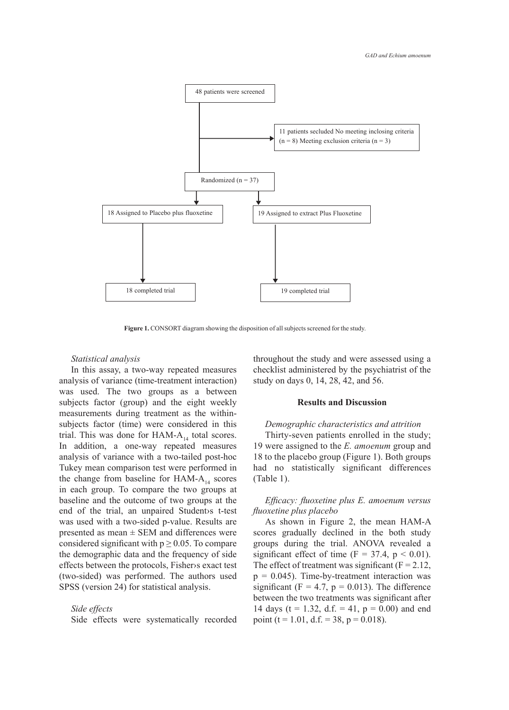

**Figure 1.** CONSORT diagram showing the disposition of all subjects screened for the study.

#### *Statistical analysis*

In this assay, a two-way repeated measures analysis of variance (time-treatment interaction) was used. The two groups as a between subjects factor (group) and the eight weekly measurements during treatment as the withinsubjects factor (time) were considered in this trial. This was done for HAM- $A_{14}$  total scores. In addition, a one-way repeated measures analysis of variance with a two-tailed post-hoc Tukey mean comparison test were performed in the change from baseline for HAM- $A_{14}$  scores in each group. To compare the two groups at baseline and the outcome of two groups at the end of the trial, an unpaired Student›s t-test was used with a two-sided p-value. Results are presented as mean  $\pm$  SEM and differences were considered significant with  $p \ge 0.05$ . To compare the demographic data and the frequency of side effects between the protocols, Fisher›s exact test (two-sided) was performed. The authors used SPSS (version 24) for statistical analysis.

## *Side effects*

Side effects were systematically recorded

throughout the study and were assessed using a checklist administered by the psychiatrist of the study on days 0, 14, 28, 42, and 56.

## **Results and Discussion**

## *Demographic characteristics and attrition*

Thirty-seven patients enrolled in the study; 19 were assigned to the *E. amoenum* group and 18 to the placebo group (Figure 1). Both groups had no statistically significant differences (Table 1).

## *Efficacy: fluoxetine plus E. amoenum versus fluoxetine plus placebo*

As shown in Figure 2, the mean HAM-A scores gradually declined in the both study groups during the trial. ANOVA revealed a significant effect of time ( $F = 37.4$ ,  $p < 0.01$ ). The effect of treatment was significant  $(F = 2.12)$ ,  $p = 0.045$ ). Time-by-treatment interaction was significant (F = 4.7,  $p = 0.013$ ). The difference between the two treatments was significant after 14 days (t = 1.32, d.f. = 41,  $p = 0.00$ ) and end point (t = 1.01, d.f. = 38, p = 0.018).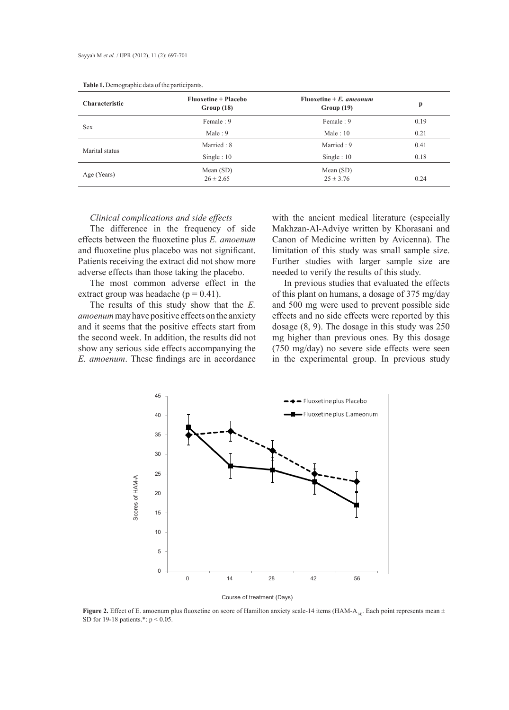| <b>Characteristic</b> | Fluoxetine + Placebo<br>Group(18) | Fluoxetine $+ E$ , ameonum<br>Group(19) | p    |
|-----------------------|-----------------------------------|-----------------------------------------|------|
| <b>Sex</b>            | Female: 9                         | Female: 9                               | 0.19 |
|                       | Male: $9$                         | Male: $10$                              | 0.21 |
| Marital status        | Married: 8                        | Married: 9                              | 0.41 |
|                       | Single : $10$                     | Single : $10$                           | 0.18 |
| Age (Years)           | Mean $(SD)$<br>$26 \pm 2.65$      | Mean $(SD)$<br>$25 \pm 3.76$            | 0.24 |

## *Clinical complications and side effects*

The difference in the frequency of side effects between the fluoxetine plus *E. amoenum* and fluoxetine plus placebo was not significant. Patients receiving the extract did not show more adverse effects than those taking the placebo.

The most common adverse effect in the extract group was headache ( $p = 0.41$ ).

The results of this study show that the *E. amoenum* may have positive effects on the anxiety and it seems that the positive effects start from the second week. In addition, the results did not show any serious side effects accompanying the *E. amoenum*. These findings are in accordance

with the ancient medical literature (especially Makhzan-Al-Adviye written by Khorasani and Canon of Medicine written by Avicenna). The limitation of this study was small sample size. Further studies with larger sample size are needed to verify the results of this study.

In previous studies that evaluated the effects of this plant on humans, a dosage of 375 mg/day and 500 mg were used to prevent possible side effects and no side effects were reported by this dosage (8, 9). The dosage in this study was 250 mg higher than previous ones. By this dosage (750 mg/day) no severe side effects were seen in the experimental group. In previous study



**Figure 2.** Effect of E. amoenum plus fluoxetine on score of Hamilton anxiety scale-14 items (HAM-A<sub>14)</sub>. Each point represents mean  $\pm$ 

SD for 19-18 patients.\*: p < 0.05.